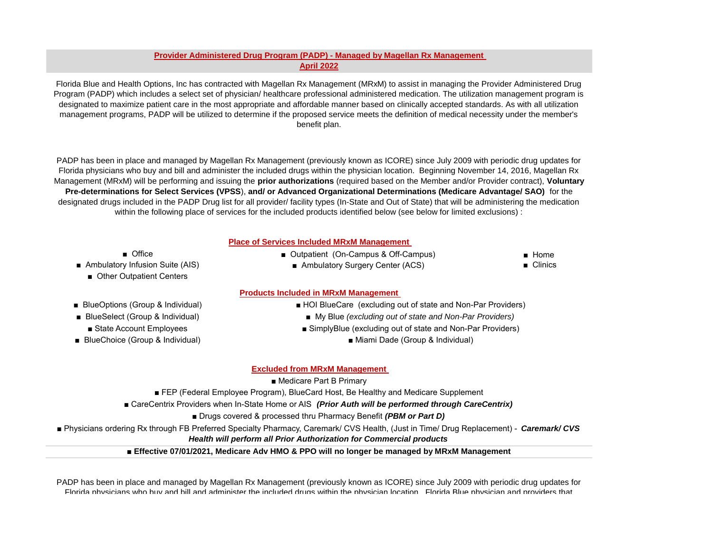# **Provider Administered Drug Program (PADP) - Managed by Magellan Rx Management April 2022**

Florida Blue and Health Options, Inc has contracted with Magellan Rx Management (MRxM) to assist in managing the Provider Administered Drug Program (PADP) which includes a select set of physician/ healthcare professional administered medication. The utilization management program is designated to maximize patient care in the most appropriate and affordable manner based on clinically accepted standards. As with all utilization management programs, PADP will be utilized to determine if the proposed service meets the definition of medical necessity under the member's benefit plan.

PADP has been in place and managed by Magellan Rx Management (previously known as ICORE) since July 2009 with periodic drug updates for Florida physicians who buy and bill and administer the included drugs within the physician location. Beginning November 14, 2016, Magellan Rx Management (MRxM) will be performing and issuing the **prior authorizations** (required based on the Member and/or Provider contract), **Voluntary Pre-determinations for Select Services (VPSS**), **and/ or Advanced Organizational Determinations (Medicare Advantage/ SAO)** for the designated drugs included in the PADP Drug list for all provider/ facility types (In-State and Out of State) that will be administering the medication within the following place of services for the included products identified below (see below for limited exclusions) :

## **Place of Services Included MRxM Management**

- Office
- Ambulatory Infusion Suite (AIS)
	- Other Outpatient Centers
- BlueOptions (Group & Individual)
- State Account Employees
- BlueChoice (Group & Individual)
- Outpatient (On-Campus & Off-Campus)
	- Ambulatory Surgery Center (ACS)

■ Home ■ Clinics

### **Products Included in MRxM Management**

- HOI BlueCare (excluding out of state and Non-Par Providers)
- BlueSelect (Group & Individual) <br>■ My Blue *(excluding out of state and Non-Par Providers)* 
	- SimplyBlue (excluding out of state and Non-Par Providers)
		- Miami Dade (Group & Individual)

## **Excluded from MRxM Management**

■ Medicare Part B Primary

■ FEP (Federal Employee Program), BlueCard Host, Be Healthy and Medicare Supplement

- CareCentrix Providers when In-State Home or AIS (Prior Auth will be performed through CareCentrix)
	- Drugs covered & processed thru Pharmacy Benefit (PBM or Part D)

■ Physicians ordering Rx through FB Preferred Specialty Pharmacy, Caremark/ CVS Health, (Just in Time/ Drug Replacement) - *Caremark/ CVS* 

*Health will perform all Prior Authorization for Commercial products*

■ **Effective 07/01/2021, Medicare Adv HMO & PPO will no longer be managed by MRxM Management**

PADP has been in place and managed by Magellan Rx Management (previously known as ICORE) since July 2009 with periodic drug updates for Florida physicians who buy and bill and administer the included drugs within the physician location. Florida Blue physician and providers that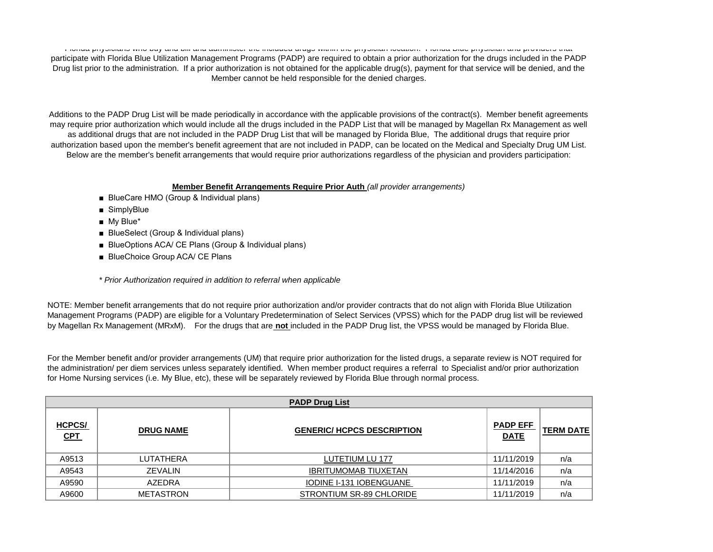Florida physicians who buy and bill and administer the included drugs within the physician location. Florida Blue physician and providers that participate with Florida Blue Utilization Management Programs (PADP) are required to obtain a prior authorization for the drugs included in the PADP Drug list prior to the administration. If a prior authorization is not obtained for the applicable drug(s), payment for that service will be denied, and the Member cannot be held responsible for the denied charges.

Additions to the PADP Drug List will be made periodically in accordance with the applicable provisions of the contract(s). Member benefit agreements may require prior authorization which would include all the drugs included in the PADP List that will be managed by Magellan Rx Management as well as additional drugs that are not included in the PADP Drug List that will be managed by Florida Blue, The additional drugs that require prior authorization based upon the member's benefit agreement that are not included in PADP, can be located on the Medical and Specialty Drug UM List. Below are the member's benefit arrangements that would require prior authorizations regardless of the physician and providers participation:

# **Member Benefit Arrangements Require Prior Auth** *(all provider arrangements)*

- BlueCare HMO (Group & Individual plans)
- SimplyBlue
- My Blue<sup>\*</sup>
- BlueSelect (Group & Individual plans)
- BlueOptions ACA/ CE Plans (Group & Individual plans)
- BlueChoice Group ACA/ CE Plans
- *\* Prior Authorization required in addition to referral when applicable*

NOTE: Member benefit arrangements that do not require prior authorization and/or provider contracts that do not align with Florida Blue Utilization Management Programs (PADP) are eligible for a Voluntary Predetermination of Select Services (VPSS) which for the PADP drug list will be reviewed by Magellan Rx Management (MRxM). For the drugs that are **not** included in the PADP Drug list, the VPSS would be managed by Florida Blue.

For the Member benefit and/or provider arrangements (UM) that require prior authorization for the listed drugs, a separate review is NOT required for the administration/ per diem services unless separately identified. When member product requires a referral to Specialist and/or prior authorization for Home Nursing services (i.e. My Blue, etc), these will be separately reviewed by Florida Blue through normal process.

|                             | <b>PADP Drug List</b> |                                   |                                |                  |  |  |  |
|-----------------------------|-----------------------|-----------------------------------|--------------------------------|------------------|--|--|--|
| <b>HCPCS/</b><br><b>CPT</b> | <b>DRUG NAME</b>      | <b>GENERIC/ HCPCS DESCRIPTION</b> | <b>PADP EFF</b><br><b>DATE</b> | <b>TERM DATE</b> |  |  |  |
| A9513                       | LUTATHERA             | LUTETIUM LU 177                   | 11/11/2019                     | n/a              |  |  |  |
| A9543                       | ZEVALIN               | <b>IBRITUMOMAB TIUXETAN</b>       | 11/14/2016                     | n/a              |  |  |  |
| A9590                       | AZEDRA                | IODINE I-131 IOBENGUANE           | 11/11/2019                     | n/a              |  |  |  |
| A9600                       | <b>METASTRON</b>      | STRONTIUM SR-89 CHLORIDE          | 11/11/2019                     | n/a              |  |  |  |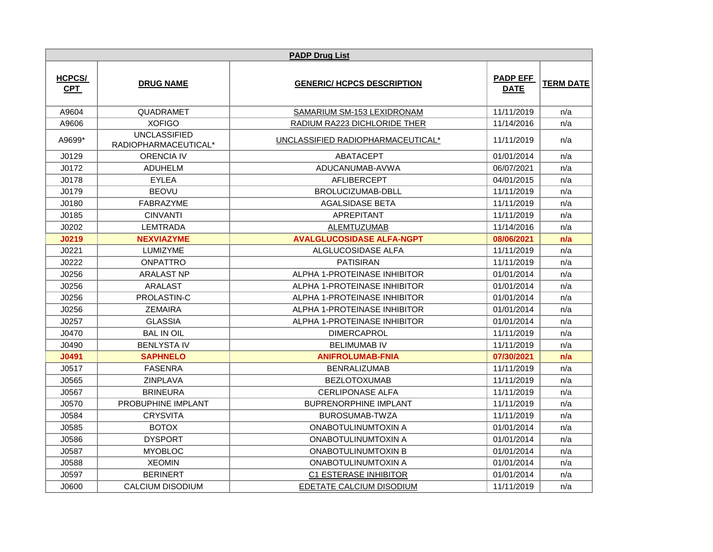|                             |                                             | <b>PADP Drug List</b>             |                                |                  |
|-----------------------------|---------------------------------------------|-----------------------------------|--------------------------------|------------------|
| <b>HCPCS/</b><br><b>CPT</b> | <b>DRUG NAME</b>                            | <b>GENERIC/ HCPCS DESCRIPTION</b> | <b>PADP EFF</b><br><b>DATE</b> | <b>TERM DATE</b> |
| A9604                       | QUADRAMET                                   | SAMARIUM SM-153 LEXIDRONAM        | 11/11/2019                     | n/a              |
| A9606                       | <b>XOFIGO</b>                               | RADIUM RA223 DICHLORIDE THER      | 11/14/2016                     | n/a              |
| A9699*                      | <b>UNCLASSIFIED</b><br>RADIOPHARMACEUTICAL* | UNCLASSIFIED RADIOPHARMACEUTICAL* | 11/11/2019                     | n/a              |
| J0129                       | <b>ORENCIA IV</b>                           | ABATACEPT                         | 01/01/2014                     | n/a              |
| J0172                       | <b>ADUHELM</b>                              | ADUCANUMAB-AVWA                   | 06/07/2021                     | n/a              |
| J0178                       | <b>EYLEA</b>                                | AFLIBERCEPT                       | 04/01/2015                     | n/a              |
| J0179                       | <b>BEOVU</b>                                | BROLUCIZUMAB-DBLL                 | 11/11/2019                     | n/a              |
| J0180                       | <b>FABRAZYME</b>                            | <b>AGALSIDASE BETA</b>            | 11/11/2019                     | n/a              |
| J0185                       | <b>CINVANTI</b>                             | <b>APREPITANT</b>                 | 11/11/2019                     | n/a              |
| J0202                       | <b>LEMTRADA</b>                             | <b>ALEMTUZUMAB</b>                | 11/14/2016                     | n/a              |
| J0219                       | <b>NEXVIAZYME</b>                           | <b>AVALGLUCOSIDASE ALFA-NGPT</b>  | 08/06/2021                     | n/a              |
| J0221                       | <b>LUMIZYME</b>                             | ALGLUCOSIDASE ALFA                | 11/11/2019                     | n/a              |
| J0222                       | <b>ONPATTRO</b>                             | <b>PATISIRAN</b>                  | 11/11/2019                     | n/a              |
| J0256                       | <b>ARALAST NP</b>                           | ALPHA 1-PROTEINASE INHIBITOR      | 01/01/2014                     | n/a              |
| J0256                       | ARALAST                                     | ALPHA 1-PROTEINASE INHIBITOR      | 01/01/2014                     | n/a              |
| J0256                       | PROLASTIN-C                                 | ALPHA 1-PROTEINASE INHIBITOR      | 01/01/2014                     | n/a              |
| J0256                       | <b>ZEMAIRA</b>                              | ALPHA 1-PROTEINASE INHIBITOR      | 01/01/2014                     | n/a              |
| J0257                       | <b>GLASSIA</b>                              | ALPHA 1-PROTEINASE INHIBITOR      | 01/01/2014                     | n/a              |
| J0470                       | <b>BAL IN OIL</b>                           | <b>DIMERCAPROL</b>                | 11/11/2019                     | n/a              |
| J0490                       | <b>BENLYSTA IV</b>                          | <b>BELIMUMAB IV</b>               | 11/11/2019                     | n/a              |
| J0491                       | <b>SAPHNELO</b>                             | <b>ANIFROLUMAB-FNIA</b>           | 07/30/2021                     | n/a              |
| J0517                       | <b>FASENRA</b>                              | <b>BENRALIZUMAB</b>               | 11/11/2019                     | n/a              |
| J0565                       | ZINPLAVA                                    | <b>BEZLOTOXUMAB</b>               | 11/11/2019                     | n/a              |
| J0567                       | <b>BRINEURA</b>                             | <b>CERLIPONASE ALFA</b>           | 11/11/2019                     | n/a              |
| J0570                       | PROBUPHINE IMPLANT                          | <b>BUPRENORPHINE IMPLANT</b>      | 11/11/2019                     | n/a              |
| J0584                       | <b>CRYSVITA</b>                             | BUROSUMAB-TWZA                    | 11/11/2019                     | n/a              |
| J0585                       | <b>BOTOX</b>                                | ONABOTULINUMTOXIN A               | 01/01/2014                     | n/a              |
| J0586                       | <b>DYSPORT</b>                              | ONABOTULINUMTOXIN A               | 01/01/2014                     | n/a              |
| J0587                       | <b>MYOBLOC</b>                              | <b>ONABOTULINUMTOXIN B</b>        | 01/01/2014                     | n/a              |
| J0588                       | <b>XEOMIN</b>                               | ONABOTULINUMTOXIN A               | 01/01/2014                     | n/a              |
| J0597                       | <b>BERINERT</b>                             | <b>C1 ESTERASE INHIBITOR</b>      | 01/01/2014                     | n/a              |
| J0600                       | <b>CALCIUM DISODIUM</b>                     | EDETATE CALCIUM DISODIUM          | 11/11/2019                     | n/a              |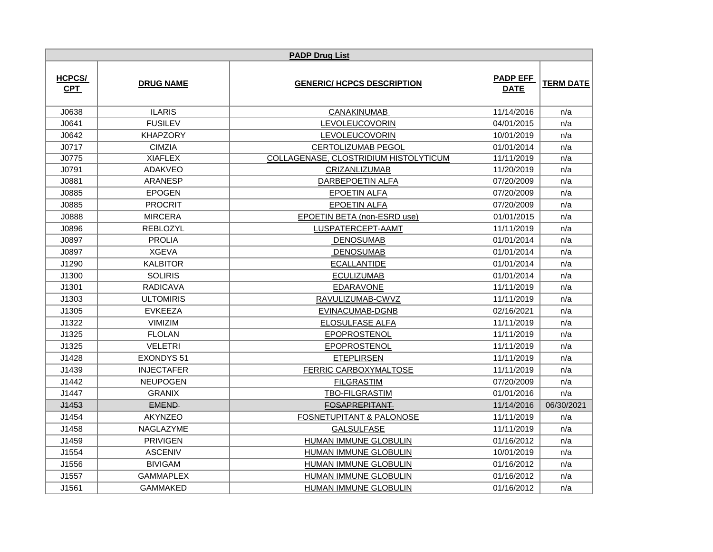|                             |                   | <b>PADP Drug List</b>                 |                                |                  |
|-----------------------------|-------------------|---------------------------------------|--------------------------------|------------------|
| <b>HCPCS/</b><br><b>CPT</b> | <b>DRUG NAME</b>  | <b>GENERIC/ HCPCS DESCRIPTION</b>     | <b>PADP EFF</b><br><b>DATE</b> | <b>TERM DATE</b> |
| J0638                       | <b>ILARIS</b>     | <b>CANAKINUMAB</b>                    | 11/14/2016                     | n/a              |
| J0641                       | <b>FUSILEV</b>    | <b>LEVOLEUCOVORIN</b>                 | 04/01/2015                     | n/a              |
| J0642                       | <b>KHAPZORY</b>   | LEVOLEUCOVORIN                        | 10/01/2019                     | n/a              |
| J0717                       | <b>CIMZIA</b>     | <b>CERTOLIZUMAB PEGOL</b>             | 01/01/2014                     | n/a              |
| J0775                       | <b>XIAFLEX</b>    | COLLAGENASE, CLOSTRIDIUM HISTOLYTICUM | 11/11/2019                     | n/a              |
| J0791                       | <b>ADAKVEO</b>    | CRIZANLIZUMAB                         | 11/20/2019                     | n/a              |
| J0881                       | <b>ARANESP</b>    | <b>DARBEPOETIN ALFA</b>               | 07/20/2009                     | n/a              |
| J0885                       | <b>EPOGEN</b>     | <b>EPOETIN ALFA</b>                   | 07/20/2009                     | n/a              |
| J0885                       | <b>PROCRIT</b>    | <b>EPOETIN ALFA</b>                   | 07/20/2009                     | n/a              |
| J0888                       | <b>MIRCERA</b>    | EPOETIN BETA (non-ESRD use)           | 01/01/2015                     | n/a              |
| J0896                       | <b>REBLOZYL</b>   | LUSPATERCEPT-AAMT                     | 11/11/2019                     | n/a              |
| J0897                       | <b>PROLIA</b>     | <b>DENOSUMAB</b>                      | 01/01/2014                     | n/a              |
| J0897                       | <b>XGEVA</b>      | <b>DENOSUMAB</b>                      | 01/01/2014                     | n/a              |
| J1290                       | <b>KALBITOR</b>   | <b>ECALLANTIDE</b>                    | 01/01/2014                     | n/a              |
| J1300                       | <b>SOLIRIS</b>    | <b>ECULIZUMAB</b>                     | 01/01/2014                     | n/a              |
| J1301                       | <b>RADICAVA</b>   | EDARAVONE                             | 11/11/2019                     | n/a              |
| J1303                       | <b>ULTOMIRIS</b>  | RAVULIZUMAB-CWVZ                      | 11/11/2019                     | n/a              |
| J1305                       | <b>EVKEEZA</b>    | EVINACUMAB-DGNB                       | 02/16/2021                     | n/a              |
| J1322                       | <b>VIMIZIM</b>    | ELOSULFASE ALFA                       | 11/11/2019                     | n/a              |
| J1325                       | <b>FLOLAN</b>     | EPOPROSTENOL                          | 11/11/2019                     | n/a              |
| J1325                       | <b>VELETRI</b>    | EPOPROSTENOL                          | 11/11/2019                     | n/a              |
| J1428                       | <b>EXONDYS 51</b> | <b>ETEPLIRSEN</b>                     | 11/11/2019                     | n/a              |
| J1439                       | <b>INJECTAFER</b> | FERRIC CARBOXYMALTOSE                 | 11/11/2019                     | n/a              |
| J1442                       | <b>NEUPOGEN</b>   | <b>FILGRASTIM</b>                     | 07/20/2009                     | n/a              |
| J1447                       | <b>GRANIX</b>     | <b>TBO-FILGRASTIM</b>                 | 01/01/2016                     | n/a              |
| <b>J1453</b>                | <b>EMEND</b>      | <b>FOSAPREPITANT</b>                  | 11/14/2016                     | 06/30/2021       |
| J1454                       | <b>AKYNZEO</b>    | <b>FOSNETUPITANT &amp; PALONOSE</b>   | 11/11/2019                     | n/a              |
| J1458                       | NAGLAZYME         | <b>GALSULFASE</b>                     | 11/11/2019                     | n/a              |
| J1459                       | <b>PRIVIGEN</b>   | HUMAN IMMUNE GLOBULIN                 | 01/16/2012                     | n/a              |
| J1554                       | <b>ASCENIV</b>    | HUMAN IMMUNE GLOBULIN                 | 10/01/2019                     | n/a              |
| J1556                       | <b>BIVIGAM</b>    | <b>HUMAN IMMUNE GLOBULIN</b>          | 01/16/2012                     | n/a              |
| J1557                       | <b>GAMMAPLEX</b>  | <b>HUMAN IMMUNE GLOBULIN</b>          | 01/16/2012                     | n/a              |
| J1561                       | <b>GAMMAKED</b>   | <b>HUMAN IMMUNE GLOBULIN</b>          | 01/16/2012                     | n/a              |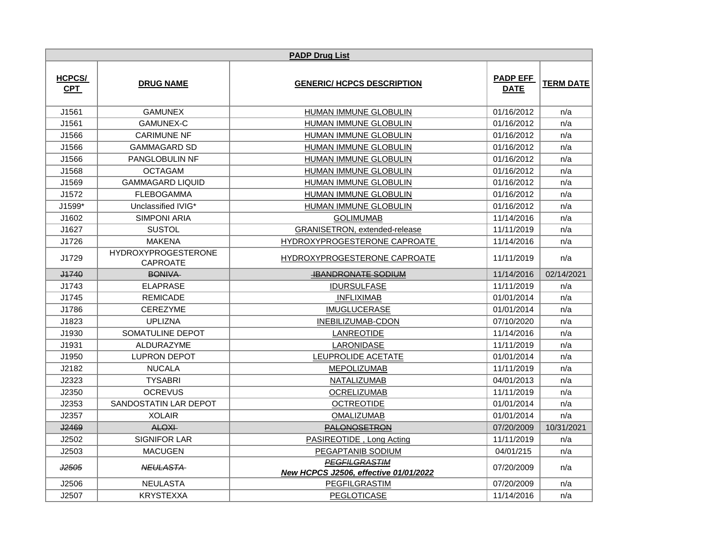|                             | <b>PADP Drug List</b>                         |                                                                      |                                |                  |  |  |
|-----------------------------|-----------------------------------------------|----------------------------------------------------------------------|--------------------------------|------------------|--|--|
| <b>HCPCS/</b><br><b>CPT</b> | <b>DRUG NAME</b>                              | <b>GENERIC/ HCPCS DESCRIPTION</b>                                    | <b>PADP EFF</b><br><b>DATE</b> | <b>TERM DATE</b> |  |  |
| J1561                       | <b>GAMUNEX</b>                                | HUMAN IMMUNE GLOBULIN                                                | 01/16/2012                     | n/a              |  |  |
| J1561                       | <b>GAMUNEX-C</b>                              | HUMAN IMMUNE GLOBULIN                                                | 01/16/2012                     | n/a              |  |  |
| J1566                       | <b>CARIMUNE NF</b>                            | HUMAN IMMUNE GLOBULIN                                                | 01/16/2012                     | n/a              |  |  |
| J1566                       | <b>GAMMAGARD SD</b>                           | HUMAN IMMUNE GLOBULIN                                                | 01/16/2012                     | n/a              |  |  |
| J1566                       | <b>PANGLOBULIN NF</b>                         | HUMAN IMMUNE GLOBULIN                                                | 01/16/2012                     | n/a              |  |  |
| J1568                       | <b>OCTAGAM</b>                                | HUMAN IMMUNE GLOBULIN                                                | 01/16/2012                     | n/a              |  |  |
| J1569                       | <b>GAMMAGARD LIQUID</b>                       | HUMAN IMMUNE GLOBULIN                                                | 01/16/2012                     | n/a              |  |  |
| J1572                       | <b>FLEBOGAMMA</b>                             | HUMAN IMMUNE GLOBULIN                                                | 01/16/2012                     | n/a              |  |  |
| J1599*                      | Unclassified IVIG*                            | <b>HUMAN IMMUNE GLOBULIN</b>                                         | 01/16/2012                     | n/a              |  |  |
| J1602                       | <b>SIMPONI ARIA</b>                           | <b>GOLIMUMAB</b>                                                     | 11/14/2016                     | n/a              |  |  |
| J1627                       | <b>SUSTOL</b>                                 | GRANISETRON, extended-release                                        | 11/11/2019                     | n/a              |  |  |
| J1726                       | <b>MAKENA</b>                                 | HYDROXYPROGESTERONE CAPROATE                                         | 11/14/2016                     | n/a              |  |  |
| J1729                       | <b>HYDROXYPROGESTERONE</b><br><b>CAPROATE</b> | HYDROXYPROGESTERONE CAPROATE                                         | 11/11/2019                     | n/a              |  |  |
| <b>J1740</b>                | BONIVA                                        | <b>HBANDRONATE SODIUM</b>                                            | 11/14/2016                     | 02/14/2021       |  |  |
| J1743                       | <b>ELAPRASE</b>                               | <b>IDURSULFASE</b>                                                   | 11/11/2019                     | n/a              |  |  |
| J1745                       | <b>REMICADE</b>                               | <b>INFLIXIMAB</b>                                                    | 01/01/2014                     | n/a              |  |  |
| J1786                       | <b>CEREZYME</b>                               | <b>IMUGLUCERASE</b>                                                  | 01/01/2014                     | n/a              |  |  |
| J1823                       | <b>UPLIZNA</b>                                | INEBILIZUMAB-CDON                                                    | 07/10/2020                     | n/a              |  |  |
| J1930                       | SOMATULINE DEPOT                              | LANREOTIDE                                                           | 11/14/2016                     | n/a              |  |  |
| J1931                       | <b>ALDURAZYME</b>                             | LARONIDASE                                                           | 11/11/2019                     | n/a              |  |  |
| J1950                       | <b>LUPRON DEPOT</b>                           | LEUPROLIDE ACETATE                                                   | 01/01/2014                     | n/a              |  |  |
| J2182                       | <b>NUCALA</b>                                 | <b>MEPOLIZUMAB</b>                                                   | 11/11/2019                     | n/a              |  |  |
| J2323                       | <b>TYSABRI</b>                                | NATALIZUMAB                                                          | 04/01/2013                     | n/a              |  |  |
| J2350                       | <b>OCREVUS</b>                                | <b>OCRELIZUMAB</b>                                                   | 11/11/2019                     | n/a              |  |  |
| J2353                       | SANDOSTATIN LAR DEPOT                         | <b>OCTREOTIDE</b>                                                    | 01/01/2014                     | n/a              |  |  |
| J2357                       | <b>XOLAIR</b>                                 | <b>OMALIZUMAB</b>                                                    | 01/01/2014                     | n/a              |  |  |
| <b>J2469</b>                | <b>ALOXI</b>                                  | <b>PALONOSETRON</b>                                                  | 07/20/2009                     | 10/31/2021       |  |  |
| J2502                       | <b>SIGNIFOR LAR</b>                           | PASIREOTIDE, Long Acting                                             | 11/11/2019                     | n/a              |  |  |
| J2503                       | <b>MACUGEN</b>                                | PEGAPTANIB SODIUM                                                    | 04/01/215                      | n/a              |  |  |
| <b>J2505</b>                | <b>NEULASTA</b>                               | <b>PEGFILGRASTIM</b><br><b>New HCPCS J2506, effective 01/01/2022</b> | 07/20/2009                     | n/a              |  |  |
| J2506                       | <b>NEULASTA</b>                               | PEGFILGRASTIM                                                        | 07/20/2009                     | n/a              |  |  |
| J2507                       | <b>KRYSTEXXA</b>                              | PEGLOTICASE                                                          | 11/14/2016                     | n/a              |  |  |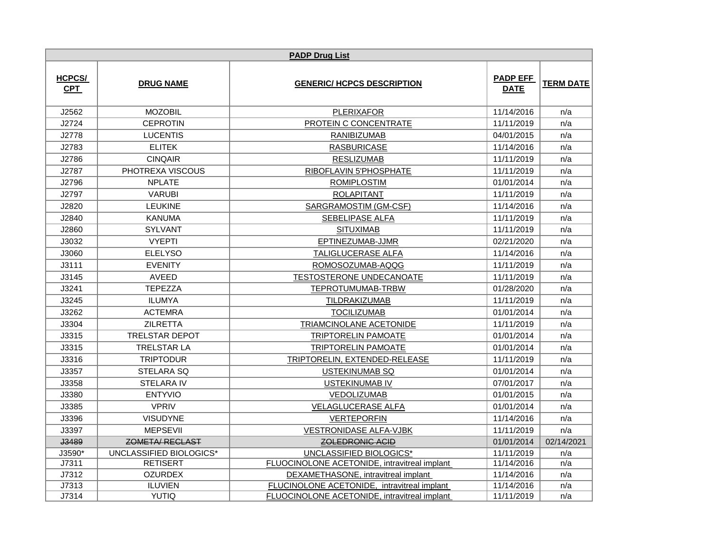|                             | <b>PADP Drug List</b>   |                                              |                                |                  |  |  |
|-----------------------------|-------------------------|----------------------------------------------|--------------------------------|------------------|--|--|
| <b>HCPCS/</b><br><b>CPT</b> | <b>DRUG NAME</b>        | <b>GENERIC/ HCPCS DESCRIPTION</b>            | <b>PADP EFF</b><br><b>DATE</b> | <b>TERM DATE</b> |  |  |
| J2562                       | <b>MOZOBIL</b>          | <b>PLERIXAFOR</b>                            | 11/14/2016                     | n/a              |  |  |
| J2724                       | <b>CEPROTIN</b>         | PROTEIN C CONCENTRATE                        | 11/11/2019                     | n/a              |  |  |
| J2778                       | <b>LUCENTIS</b>         | <b>RANIBIZUMAB</b>                           | 04/01/2015                     | n/a              |  |  |
| J2783                       | <b>ELITEK</b>           | <b>RASBURICASE</b>                           | 11/14/2016                     | n/a              |  |  |
| J2786                       | <b>CINQAIR</b>          | <b>RESLIZUMAB</b>                            | 11/11/2019                     | n/a              |  |  |
| J2787                       | PHOTREXA VISCOUS        | RIBOFLAVIN 5'PHOSPHATE                       | 11/11/2019                     | n/a              |  |  |
| J2796                       | <b>NPLATE</b>           | <b>ROMIPLOSTIM</b>                           | 01/01/2014                     | n/a              |  |  |
| J2797                       | <b>VARUBI</b>           | <b>ROLAPITANT</b>                            | 11/11/2019                     | n/a              |  |  |
| J2820                       | <b>LEUKINE</b>          | <b>SARGRAMOSTIM (GM-CSF)</b>                 | 11/14/2016                     | n/a              |  |  |
| J2840                       | <b>KANUMA</b>           | SEBELIPASE ALFA                              | 11/11/2019                     | n/a              |  |  |
| J2860                       | <b>SYLVANT</b>          | <b>SITUXIMAB</b>                             | 11/11/2019                     | n/a              |  |  |
| J3032                       | <b>VYEPTI</b>           | EPTINEZUMAB-JJMR                             | 02/21/2020                     | n/a              |  |  |
| J3060                       | <b>ELELYSO</b>          | TALIGLUCERASE ALFA                           | 11/14/2016                     | n/a              |  |  |
| J3111                       | <b>EVENITY</b>          | ROMOSOZUMAB-AQQG                             | 11/11/2019                     | n/a              |  |  |
| J3145                       | <b>AVEED</b>            | <b>TESTOSTERONE UNDECANOATE</b>              | 11/11/2019                     | n/a              |  |  |
| J3241                       | <b>TEPEZZA</b>          | TEPROTUMUMAB-TRBW                            | 01/28/2020                     | n/a              |  |  |
| J3245                       | <b>ILUMYA</b>           | <b>TILDRAKIZUMAB</b>                         | 11/11/2019                     | n/a              |  |  |
| J3262                       | <b>ACTEMRA</b>          | <b>TOCILIZUMAB</b>                           | 01/01/2014                     | n/a              |  |  |
| J3304                       | <b>ZILRETTA</b>         | TRIAMCINOLANE ACETONIDE                      | 11/11/2019                     | n/a              |  |  |
| J3315                       | <b>TRELSTAR DEPOT</b>   | TRIPTORELIN PAMOATE                          | 01/01/2014                     | n/a              |  |  |
| J3315                       | <b>TRELSTAR LA</b>      | TRIPTORELIN PAMOATE                          | 01/01/2014                     | n/a              |  |  |
| J3316                       | <b>TRIPTODUR</b>        | TRIPTORELIN, EXTENDED-RELEASE                | 11/11/2019                     | n/a              |  |  |
| J3357                       | STELARA SQ              | <b>USTEKINUMAB SQ</b>                        | 01/01/2014                     | n/a              |  |  |
| J3358                       | <b>STELARA IV</b>       | USTEKINUMAB IV                               | 07/01/2017                     | n/a              |  |  |
| J3380                       | <b>ENTYVIO</b>          | <b>VEDOLIZUMAB</b>                           | 01/01/2015                     | n/a              |  |  |
| J3385                       | <b>VPRIV</b>            | <b>VELAGLUCERASE ALFA</b>                    | 01/01/2014                     | n/a              |  |  |
| J3396                       | <b>VISUDYNE</b>         | <b>VERTEPORFIN</b>                           | 11/14/2016                     | n/a              |  |  |
| J3397                       | <b>MEPSEVII</b>         | <b>VESTRONIDASE ALFA-VJBK</b>                | 11/11/2019                     | n/a              |  |  |
| <b>J3489</b>                | <b>ZOMETA/ RECLAST</b>  | <b>ZOLEDRONIC ACID</b>                       | 01/01/2014                     | 02/14/2021       |  |  |
| J3590*                      | UNCLASSIFIED BIOLOGICS* | UNCLASSIFIED BIOLOGICS*                      | 11/11/2019                     | n/a              |  |  |
| J7311                       | <b>RETISERT</b>         | FLUOCINOLONE ACETONIDE, intravitreal implant | 11/14/2016                     | n/a              |  |  |
| J7312                       | <b>OZURDEX</b>          | DEXAMETHASONE, intravitreal implant          | 11/14/2016                     | n/a              |  |  |
| J7313                       | <b>ILUVIEN</b>          | FLUCINOLONE ACETONIDE, intravitreal implant  | 11/14/2016                     | n/a              |  |  |
| J7314                       | <b>YUTIQ</b>            | FLUOCINOLONE ACETONIDE, intravitreal implant | 11/11/2019                     | n/a              |  |  |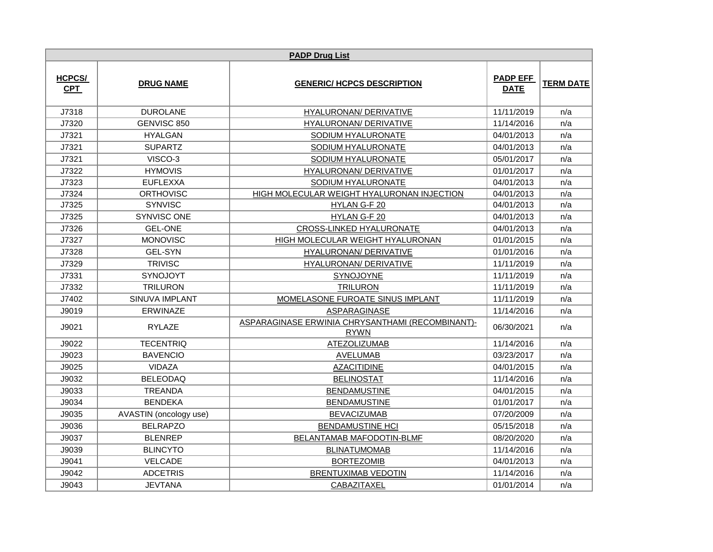| <b>PADP Drug List</b>       |                        |                                                                 |                                |                  |
|-----------------------------|------------------------|-----------------------------------------------------------------|--------------------------------|------------------|
| <b>HCPCS/</b><br><b>CPT</b> | <b>DRUG NAME</b>       | <b>GENERIC/ HCPCS DESCRIPTION</b>                               | <b>PADP EFF</b><br><b>DATE</b> | <b>TERM DATE</b> |
| J7318                       | <b>DUROLANE</b>        | HYALURONAN/ DERIVATIVE                                          | 11/11/2019                     | n/a              |
| J7320                       | GENVISC 850            | HYALURONAN/ DERIVATIVE                                          | 11/14/2016                     | n/a              |
| J7321                       | <b>HYALGAN</b>         | SODIUM HYALURONATE                                              | 04/01/2013                     | n/a              |
| J7321                       | <b>SUPARTZ</b>         | SODIUM HYALURONATE                                              | 04/01/2013                     | n/a              |
| J7321                       | VISCO-3                | SODIUM HYALURONATE                                              | 05/01/2017                     | n/a              |
| J7322                       | <b>HYMOVIS</b>         | HYALURONAN/ DERIVATIVE                                          | 01/01/2017                     | n/a              |
| J7323                       | <b>EUFLEXXA</b>        | SODIUM HYALURONATE                                              | 04/01/2013                     | n/a              |
| J7324                       | <b>ORTHOVISC</b>       | HIGH MOLECULAR WEIGHT HYALURONAN INJECTION                      | 04/01/2013                     | n/a              |
| J7325                       | <b>SYNVISC</b>         | HYLAN G-F 20                                                    | 04/01/2013                     | n/a              |
| J7325                       | <b>SYNVISC ONE</b>     | HYLAN G-F 20                                                    | 04/01/2013                     | n/a              |
| J7326                       | <b>GEL-ONE</b>         | <b>CROSS-LINKED HYALURONATE</b>                                 | 04/01/2013                     | n/a              |
| J7327                       | <b>MONOVISC</b>        | HIGH MOLECULAR WEIGHT HYALURONAN                                | 01/01/2015                     | n/a              |
| J7328                       | <b>GEL-SYN</b>         | HYALURONAN/ DERIVATIVE                                          | 01/01/2016                     | n/a              |
| J7329                       | <b>TRIVISC</b>         | HYALURONAN/ DERIVATIVE                                          | 11/11/2019                     | n/a              |
| J7331                       | <b>SYNOJOYT</b>        | <b>SYNOJOYNE</b>                                                | 11/11/2019                     | n/a              |
| J7332                       | <b>TRILURON</b>        | <b>TRILURON</b>                                                 | 11/11/2019                     | n/a              |
| J7402                       | <b>SINUVA IMPLANT</b>  | <b>MOMELASONE FUROATE SINUS IMPLANT</b>                         | 11/11/2019                     | n/a              |
| J9019                       | <b>ERWINAZE</b>        | ASPARAGINASE                                                    | 11/14/2016                     | n/a              |
| J9021                       | <b>RYLAZE</b>          | ASPARAGINASE ERWINIA CHRYSANTHAMI (RECOMBINANT)-<br><b>RYWN</b> | 06/30/2021                     | n/a              |
| J9022                       | <b>TECENTRIQ</b>       | <b>ATEZOLIZUMAB</b>                                             | 11/14/2016                     | n/a              |
| J9023                       | <b>BAVENCIO</b>        | <b>AVELUMAB</b>                                                 | 03/23/2017                     | n/a              |
| J9025                       | <b>VIDAZA</b>          | <b>AZACITIDINE</b>                                              | 04/01/2015                     | n/a              |
| J9032                       | <b>BELEODAQ</b>        | <b>BELINOSTAT</b>                                               | 11/14/2016                     | n/a              |
| J9033                       | <b>TREANDA</b>         | <b>BENDAMUSTINE</b>                                             | 04/01/2015                     | n/a              |
| J9034                       | <b>BENDEKA</b>         | <b>BENDAMUSTINE</b>                                             | 01/01/2017                     | n/a              |
| J9035                       | AVASTIN (oncology use) | <b>BEVACIZUMAB</b>                                              | 07/20/2009                     | n/a              |
| J9036                       | <b>BELRAPZO</b>        | <b>BENDAMUSTINE HCI</b>                                         | 05/15/2018                     | n/a              |
| J9037                       | <b>BLENREP</b>         | BELANTAMAB MAFODOTIN-BLMF                                       | 08/20/2020                     | n/a              |
| J9039                       | <b>BLINCYTO</b>        | <b>BLINATUMOMAB</b>                                             | 11/14/2016                     | n/a              |
| J9041                       | VELCADE                | <b>BORTEZOMIB</b>                                               | 04/01/2013                     | n/a              |
| J9042                       | <b>ADCETRIS</b>        | <b>BRENTUXIMAB VEDOTIN</b>                                      | 11/14/2016                     | n/a              |
| J9043                       | <b>JEVTANA</b>         | <b>CABAZITAXEL</b>                                              | 01/01/2014                     | n/a              |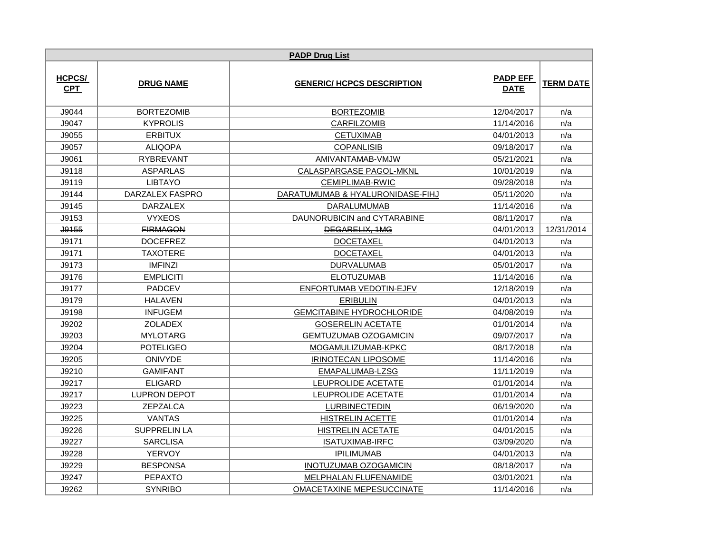|                             | <b>PADP Drug List</b> |                                   |                                |                  |  |  |
|-----------------------------|-----------------------|-----------------------------------|--------------------------------|------------------|--|--|
| <b>HCPCS/</b><br><b>CPT</b> | <b>DRUG NAME</b>      | <b>GENERIC/ HCPCS DESCRIPTION</b> | <b>PADP EFF</b><br><b>DATE</b> | <b>TERM DATE</b> |  |  |
| J9044                       | <b>BORTEZOMIB</b>     | <b>BORTEZOMIB</b>                 | 12/04/2017                     | n/a              |  |  |
| J9047                       | <b>KYPROLIS</b>       | <b>CARFILZOMIB</b>                | 11/14/2016                     | n/a              |  |  |
| J9055                       | <b>ERBITUX</b>        | <b>CETUXIMAB</b>                  | 04/01/2013                     | n/a              |  |  |
| J9057                       | <b>ALIQOPA</b>        | <b>COPANLISIB</b>                 | 09/18/2017                     | n/a              |  |  |
| J9061                       | <b>RYBREVANT</b>      | AMIVANTAMAB-VMJW                  | 05/21/2021                     | n/a              |  |  |
| J9118                       | <b>ASPARLAS</b>       | CALASPARGASE PAGOL-MKNL           | 10/01/2019                     | n/a              |  |  |
| J9119                       | <b>LIBTAYO</b>        | <b>CEMIPLIMAB-RWIC</b>            | 09/28/2018                     | n/a              |  |  |
| J9144                       | DARZALEX FASPRO       | DARATUMUMAB & HYALURONIDASE-FIHJ  | 05/11/2020                     | n/a              |  |  |
| J9145                       | <b>DARZALEX</b>       | DARALUMUMAB                       | 11/14/2016                     | n/a              |  |  |
| J9153                       | <b>VYXEOS</b>         | DAUNORUBICIN and CYTARABINE       | 08/11/2017                     | n/a              |  |  |
| J9155                       | <b>FIRMAGON</b>       | DEGARELIX, 1MG                    | 04/01/2013                     | 12/31/2014       |  |  |
| J9171                       | <b>DOCEFREZ</b>       | <b>DOCETAXEL</b>                  | 04/01/2013                     | n/a              |  |  |
| J9171                       | <b>TAXOTERE</b>       | <b>DOCETAXEL</b>                  | 04/01/2013                     | n/a              |  |  |
| J9173                       | <b>IMFINZI</b>        | <b>DURVALUMAB</b>                 | 05/01/2017                     | n/a              |  |  |
| J9176                       | <b>EMPLICITI</b>      | <b>ELOTUZUMAB</b>                 | 11/14/2016                     | n/a              |  |  |
| J9177                       | <b>PADCEV</b>         | ENFORTUMAB VEDOTIN-EJFV           | 12/18/2019                     | n/a              |  |  |
| J9179                       | <b>HALAVEN</b>        | <b>ERIBULIN</b>                   | 04/01/2013                     | n/a              |  |  |
| J9198                       | <b>INFUGEM</b>        | <b>GEMCITABINE HYDROCHLORIDE</b>  | 04/08/2019                     | n/a              |  |  |
| J9202                       | <b>ZOLADEX</b>        | <b>GOSERELIN ACETATE</b>          | 01/01/2014                     | n/a              |  |  |
| J9203                       | <b>MYLOTARG</b>       | <b>GEMTUZUMAB OZOGAMICIN</b>      | 09/07/2017                     | n/a              |  |  |
| J9204                       | <b>POTELIGEO</b>      | MOGAMULIZUMAB-KPKC                | 08/17/2018                     | n/a              |  |  |
| J9205                       | <b>ONIVYDE</b>        | <b>IRINOTECAN LIPOSOME</b>        | 11/14/2016                     | n/a              |  |  |
| J9210                       | <b>GAMIFANT</b>       | EMAPALUMAB-LZSG                   | 11/11/2019                     | n/a              |  |  |
| J9217                       | <b>ELIGARD</b>        | LEUPROLIDE ACETATE                | 01/01/2014                     | n/a              |  |  |
| J9217                       | <b>LUPRON DEPOT</b>   | LEUPROLIDE ACETATE                | 01/01/2014                     | n/a              |  |  |
| J9223                       | ZEPZALCA              | <b>LURBINECTEDIN</b>              | 06/19/2020                     | n/a              |  |  |
| J9225                       | <b>VANTAS</b>         | <b>HISTRELIN ACETTE</b>           | 01/01/2014                     | n/a              |  |  |
| J9226                       | <b>SUPPRELIN LA</b>   | <b>HISTRELIN ACETATE</b>          | 04/01/2015                     | n/a              |  |  |
| J9227                       | <b>SARCLISA</b>       | ISATUXIMAB-IRFC                   | 03/09/2020                     | n/a              |  |  |
| J9228                       | <b>YERVOY</b>         | <b>IPILIMUMAB</b>                 | 04/01/2013                     | n/a              |  |  |
| J9229                       | <b>BESPONSA</b>       | <b>INOTUZUMAB OZOGAMICIN</b>      | 08/18/2017                     | n/a              |  |  |
| J9247                       | <b>PEPAXTO</b>        | MELPHALAN FLUFENAMIDE             | 03/01/2021                     | n/a              |  |  |
| J9262                       | <b>SYNRIBO</b>        | OMACETAXINE MEPESUCCINATE         | 11/14/2016                     | n/a              |  |  |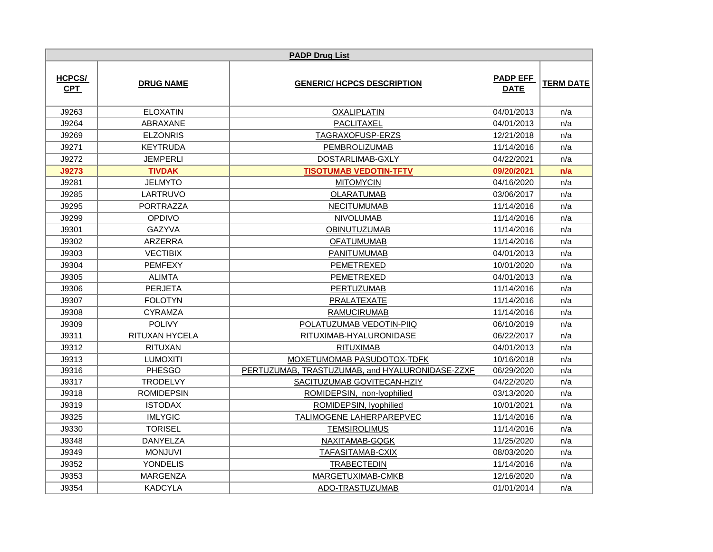|                             |                   | <b>PADP Drug List</b>                           |                                |                  |
|-----------------------------|-------------------|-------------------------------------------------|--------------------------------|------------------|
| <b>HCPCS/</b><br><b>CPT</b> | <b>DRUG NAME</b>  | <b>GENERIC/ HCPCS DESCRIPTION</b>               | <b>PADP EFF</b><br><b>DATE</b> | <b>TERM DATE</b> |
| J9263                       | <b>ELOXATIN</b>   | <b>OXALIPLATIN</b>                              | 04/01/2013                     | n/a              |
| J9264                       | ABRAXANE          | <b>PACLITAXEL</b>                               | 04/01/2013                     | n/a              |
| J9269                       | <b>ELZONRIS</b>   | TAGRAXOFUSP-ERZS                                | 12/21/2018                     | n/a              |
| J9271                       | <b>KEYTRUDA</b>   | <b>PEMBROLIZUMAB</b>                            | 11/14/2016                     | n/a              |
| J9272                       | <b>JEMPERLI</b>   | DOSTARLIMAB-GXLY                                | 04/22/2021                     | n/a              |
| J9273                       | <b>TIVDAK</b>     | <b>TISOTUMAB VEDOTIN-TFTV</b>                   | 09/20/2021                     | n/a              |
| J9281                       | <b>JELMYTO</b>    | <b>MITOMYCIN</b>                                | 04/16/2020                     | n/a              |
| J9285                       | LARTRUVO          | <b>OLARATUMAB</b>                               | 03/06/2017                     | n/a              |
| J9295                       | <b>PORTRAZZA</b>  | <b>NECITUMUMAB</b>                              | 11/14/2016                     | n/a              |
| J9299                       | OPDIVO            | <b>NIVOLUMAB</b>                                | 11/14/2016                     | n/a              |
| J9301                       | GAZYVA            | OBINUTUZUMAB                                    | 11/14/2016                     | n/a              |
| J9302                       | <b>ARZERRA</b>    | <b>OFATUMUMAB</b>                               | 11/14/2016                     | n/a              |
| J9303                       | <b>VECTIBIX</b>   | PANITUMUMAB                                     | 04/01/2013                     | n/a              |
| J9304                       | <b>PEMFEXY</b>    | PEMETREXED                                      | 10/01/2020                     | n/a              |
| J9305                       | <b>ALIMTA</b>     | PEMETREXED                                      | 04/01/2013                     | n/a              |
| J9306                       | <b>PERJETA</b>    | <b>PERTUZUMAB</b>                               | 11/14/2016                     | n/a              |
| J9307                       | <b>FOLOTYN</b>    | PRALATEXATE                                     | 11/14/2016                     | n/a              |
| J9308                       | <b>CYRAMZA</b>    | <b>RAMUCIRUMAB</b>                              | 11/14/2016                     | n/a              |
| J9309                       | <b>POLIVY</b>     | POLATUZUMAB VEDOTIN-PIIQ                        | 06/10/2019                     | n/a              |
| J9311                       | RITUXAN HYCELA    | RITUXIMAB-HYALURONIDASE                         | 06/22/2017                     | n/a              |
| J9312                       | <b>RITUXAN</b>    | <b>RITUXIMAB</b>                                | 04/01/2013                     | n/a              |
| J9313                       | <b>LUMOXITI</b>   | MOXETUMOMAB PASUDOTOX-TDFK                      | 10/16/2018                     | n/a              |
| J9316                       | <b>PHESGO</b>     | PERTUZUMAB, TRASTUZUMAB, and HYALURONIDASE-ZZXF | 06/29/2020                     | n/a              |
| J9317                       | <b>TRODELVY</b>   | SACITUZUMAB GOVITECAN-HZIY                      | 04/22/2020                     | n/a              |
| J9318                       | <b>ROMIDEPSIN</b> | ROMIDEPSIN, non-lyophilied                      | 03/13/2020                     | n/a              |
| J9319                       | <b>ISTODAX</b>    | ROMIDEPSIN, lyophilied                          | 10/01/2021                     | n/a              |
| J9325                       | <b>IMLYGIC</b>    | TALIMOGENE LAHERPAREPVEC                        | 11/14/2016                     | n/a              |
| J9330                       | <b>TORISEL</b>    | <b>TEMSIROLIMUS</b>                             | 11/14/2016                     | n/a              |
| J9348                       | <b>DANYELZA</b>   | NAXITAMAB-GQGK                                  | 11/25/2020                     | n/a              |
| J9349                       | <b>MONJUVI</b>    | TAFASITAMAB-CXIX                                | 08/03/2020                     | n/a              |
| J9352                       | YONDELIS          | <b>TRABECTEDIN</b>                              | 11/14/2016                     | n/a              |
| J9353                       | <b>MARGENZA</b>   | MARGETUXIMAB-CMKB                               | 12/16/2020                     | n/a              |
| J9354                       | <b>KADCYLA</b>    | ADO-TRASTUZUMAB                                 | 01/01/2014                     | n/a              |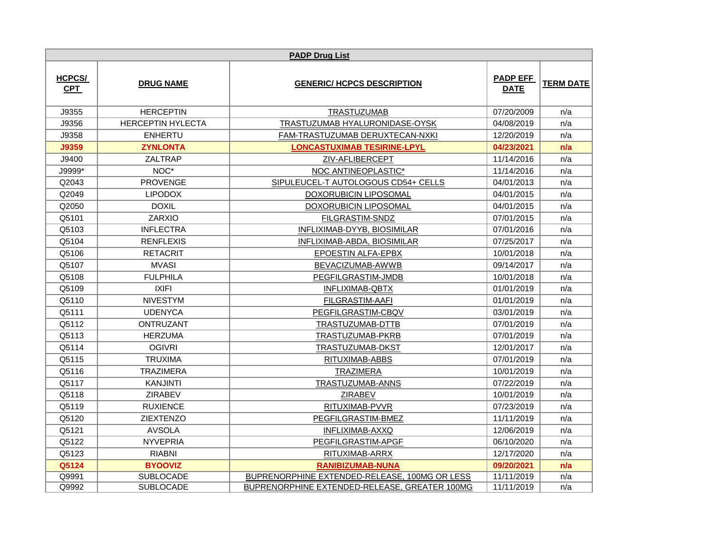|                             |                          | <b>PADP Drug List</b>                         |                                |                  |
|-----------------------------|--------------------------|-----------------------------------------------|--------------------------------|------------------|
| <b>HCPCS/</b><br><b>CPT</b> | <b>DRUG NAME</b>         | <b>GENERIC/ HCPCS DESCRIPTION</b>             | <b>PADP EFF</b><br><b>DATE</b> | <b>TERM DATE</b> |
| J9355                       | <b>HERCEPTIN</b>         | <b>TRASTUZUMAB</b>                            | 07/20/2009                     | n/a              |
| J9356                       | <b>HERCEPTIN HYLECTA</b> | TRASTUZUMAB HYALURONIDASE-OYSK                | 04/08/2019                     | n/a              |
| J9358                       | <b>ENHERTU</b>           | FAM-TRASTUZUMAB DERUXTECAN-NXKI               | 12/20/2019                     | n/a              |
| J9359                       | <b>ZYNLONTA</b>          | <b>LONCASTUXIMAB TESIRINE-LPYL</b>            | 04/23/2021                     | n/a              |
| J9400                       | ZALTRAP                  | ZIV-AFLIBERCEPT                               | 11/14/2016                     | n/a              |
| $J9999^*$                   | NOC*                     | NOC ANTINEOPLASTIC*                           | 11/14/2016                     | n/a              |
| Q2043                       | <b>PROVENGE</b>          | SIPULEUCEL-T AUTOLOGOUS CD54+ CELLS           | 04/01/2013                     | n/a              |
| Q2049                       | <b>LIPODOX</b>           | DOXORUBICIN LIPOSOMAL                         | 04/01/2015                     | n/a              |
| Q2050                       | <b>DOXIL</b>             | DOXORUBICIN LIPOSOMAL                         | 04/01/2015                     | n/a              |
| Q5101                       | <b>ZARXIO</b>            | FILGRASTIM-SNDZ                               | 07/01/2015                     | n/a              |
| Q5103                       | <b>INFLECTRA</b>         | INFLIXIMAB-DYYB, BIOSIMILAR                   | 07/01/2016                     | n/a              |
| Q5104                       | <b>RENFLEXIS</b>         | INFLIXIMAB-ABDA, BIOSIMILAR                   | 07/25/2017                     | n/a              |
| Q5106                       | <b>RETACRIT</b>          | EPOESTIN ALFA-EPBX                            | 10/01/2018                     | n/a              |
| Q5107                       | <b>MVASI</b>             | BEVACIZUMAB-AWWB                              | 09/14/2017                     | n/a              |
| Q5108                       | <b>FULPHILA</b>          | PEGFILGRASTIM-JMDB                            | 10/01/2018                     | n/a              |
| Q5109                       | <b>IXIFI</b>             | <b>INFLIXIMAB-QBTX</b>                        | 01/01/2019                     | n/a              |
| Q5110                       | <b>NIVESTYM</b>          | FILGRASTIM-AAFI                               | 01/01/2019                     | n/a              |
| Q5111                       | <b>UDENYCA</b>           | PEGFILGRASTIM-CBQV                            | 03/01/2019                     | n/a              |
| Q5112                       | ONTRUZANT                | TRASTUZUMAB-DTTB                              | 07/01/2019                     | n/a              |
| Q5113                       | <b>HERZUMA</b>           | TRASTUZUMAB-PKRB                              | 07/01/2019                     | n/a              |
| Q5114                       | <b>OGIVRI</b>            | TRASTUZUMAB-DKST                              | 12/01/2017                     | n/a              |
| Q5115                       | <b>TRUXIMA</b>           | RITUXIMAB-ABBS                                | 07/01/2019                     | n/a              |
| Q5116                       | <b>TRAZIMERA</b>         | <b>TRAZIMERA</b>                              | 10/01/2019                     | n/a              |
| Q5117                       | <b>KANJINTI</b>          | TRASTUZUMAB-ANNS                              | 07/22/2019                     | n/a              |
| Q5118                       | <b>ZIRABEV</b>           | <b>ZIRABEV</b>                                | 10/01/2019                     | n/a              |
| Q5119                       | <b>RUXIENCE</b>          | RITUXIMAB-PVVR                                | 07/23/2019                     | n/a              |
| Q5120                       | <b>ZIEXTENZO</b>         | PEGFILGRASTIM-BMEZ                            | 11/11/2019                     | n/a              |
| Q5121                       | <b>AVSOLA</b>            | INFLIXIMAB-AXXQ                               | 12/06/2019                     | n/a              |
| Q5122                       | <b>NYVEPRIA</b>          | PEGFILGRASTIM-APGF                            | 06/10/2020                     | n/a              |
| Q5123                       | <b>RIABNI</b>            | RITUXIMAB-ARRX                                | 12/17/2020                     | n/a              |
| Q5124                       | <b>BYOOVIZ</b>           | <b>RANIBIZUMAB-NUNA</b>                       | 09/20/2021                     | n/a              |
| Q9991                       | <b>SUBLOCADE</b>         | BUPRENORPHINE EXTENDED-RELEASE, 100MG OR LESS | 11/11/2019                     | n/a              |
| Q9992                       | <b>SUBLOCADE</b>         | BUPRENORPHINE EXTENDED-RELEASE, GREATER 100MG | 11/11/2019                     | n/a              |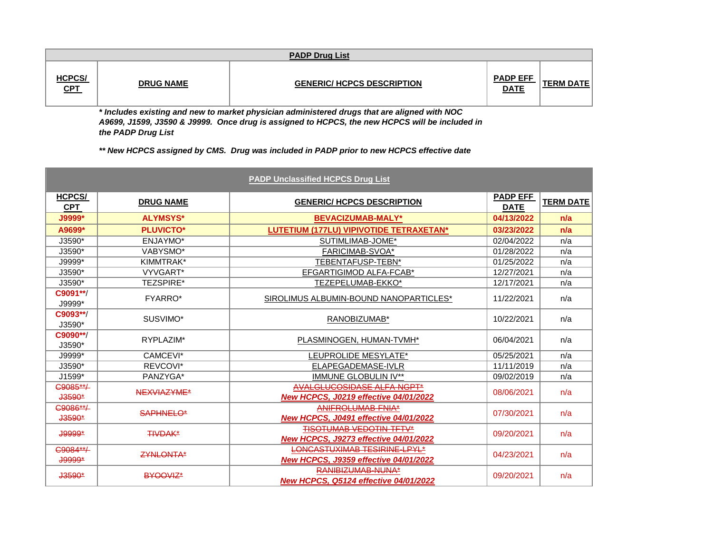|                             | <b>PADP Drug List</b> |                                   |                                |           |  |  |  |
|-----------------------------|-----------------------|-----------------------------------|--------------------------------|-----------|--|--|--|
| <b>HCPCS/</b><br><u>CPT</u> | <b>DRUG NAME</b>      | <b>GENERIC/ HCPCS DESCRIPTION</b> | <b>PADP EFF</b><br><b>DATE</b> | TERM DATE |  |  |  |

*\* Includes existing and new to market physician administered drugs that are aligned with NOC A9699, J1599, J3590 & J9999. Once drug is assigned to HCPCS, the new HCPCS will be included in the PADP Drug List*

*\*\* New HCPCS assigned by CMS. Drug was included in PADP prior to new HCPCS effective date*

|                      |                  | <b>PADP Unclassified HCPCS Drug List</b>                          |                 |                  |
|----------------------|------------------|-------------------------------------------------------------------|-----------------|------------------|
| HCPCS/               | <b>DRUG NAME</b> | <b>GENERIC/ HCPCS DESCRIPTION</b>                                 | <b>PADP EFF</b> | <b>TERM DATE</b> |
| <b>CPT</b>           |                  |                                                                   | <b>DATE</b>     |                  |
| J9999*               | <b>ALYMSYS*</b>  | <b>BEVACIZUMAB-MALY*</b>                                          | 04/13/2022      | n/a              |
| A9699*               | <b>PLUVICTO*</b> | LUTETIUM (177LU) VIPIVOTIDE TETRAXETAN*                           | 03/23/2022      | n/a              |
| J3590*               | ENJAYMO*         | SUTIMLIMAB-JOME*                                                  | 02/04/2022      | n/a              |
| J3590*               | VABYSMO*         | FARICIMAB-SVOA*                                                   | 01/28/2022      | n/a              |
| J9999*               | KIMMTRAK*        | TEBENTAFUSP-TEBN*                                                 | 01/25/2022      | n/a              |
| J3590*               | VYVGART*         | EFGARTIGIMOD ALFA-FCAB*                                           | 12/27/2021      | n/a              |
| J3590*               | <b>TEZSPIRE*</b> | TEZEPELUMAB-EKKO*                                                 | 12/17/2021      | n/a              |
| C9091**/<br>J9999*   | <b>FYARRO*</b>   | SIROLIMUS ALBUMIN-BOUND NANOPARTICLES*                            | 11/22/2021      | n/a              |
| C9093**/<br>$J3590*$ | SUSVIMO*         | RANOBIZUMAB*                                                      | 10/22/2021      | n/a              |
| C9090**/<br>J3590*   | RYPLAZIM*        | PLASMINOGEN, HUMAN-TVMH*                                          | 06/04/2021      | n/a              |
| J9999*               | CAMCEVI*         | LEUPROLIDE MESYLATE*                                              | 05/25/2021      | n/a              |
| J3590*               | REVCOVI*         | ELAPEGADEMASE-IVLR                                                | 11/11/2019      | n/a              |
| J1599*               | PANZYGA*         | <b>IMMUNE GLOBULIN IV**</b>                                       | 09/02/2019      | n/a              |
| C9085**/             | NEXVIAZYME*      | <b>AVALGLUCOSIDASE ALFA-NGPT*</b>                                 |                 | n/a              |
| $J3590*$             |                  | <b>New HCPCS, J0219 effective 04/01/2022</b>                      | 08/06/2021      |                  |
| C9086**/             | <b>SAPHNELO*</b> | ANIFROLUMAB-FNIA*                                                 | 07/30/2021      | n/a              |
| $J3590*$             |                  | New HCPCS, J0491 effective 04/01/2022                             |                 |                  |
| <b>J9999*</b>        | <b>TIVDAK*</b>   | <b>TISOTUMAB VEDOTIN-TFTV*</b>                                    | 09/20/2021      | n/a              |
|                      |                  | New HCPCS, J9273 effective 04/01/2022                             |                 |                  |
| C9084**/             | <b>ZYNLONTA*</b> | LONCASTUXIMAB TESIRINE-LPYL*                                      | 04/23/2021      | n/a              |
| <b>J9999*</b>        |                  | New HCPCS, J9359 effective 04/01/2022                             |                 |                  |
| $J3590*$             | BYOOVIZ*         | RANIBIZUMAB-NUNA*<br><b>New HCPCS, Q5124 effective 04/01/2022</b> | 09/20/2021      | n/a              |